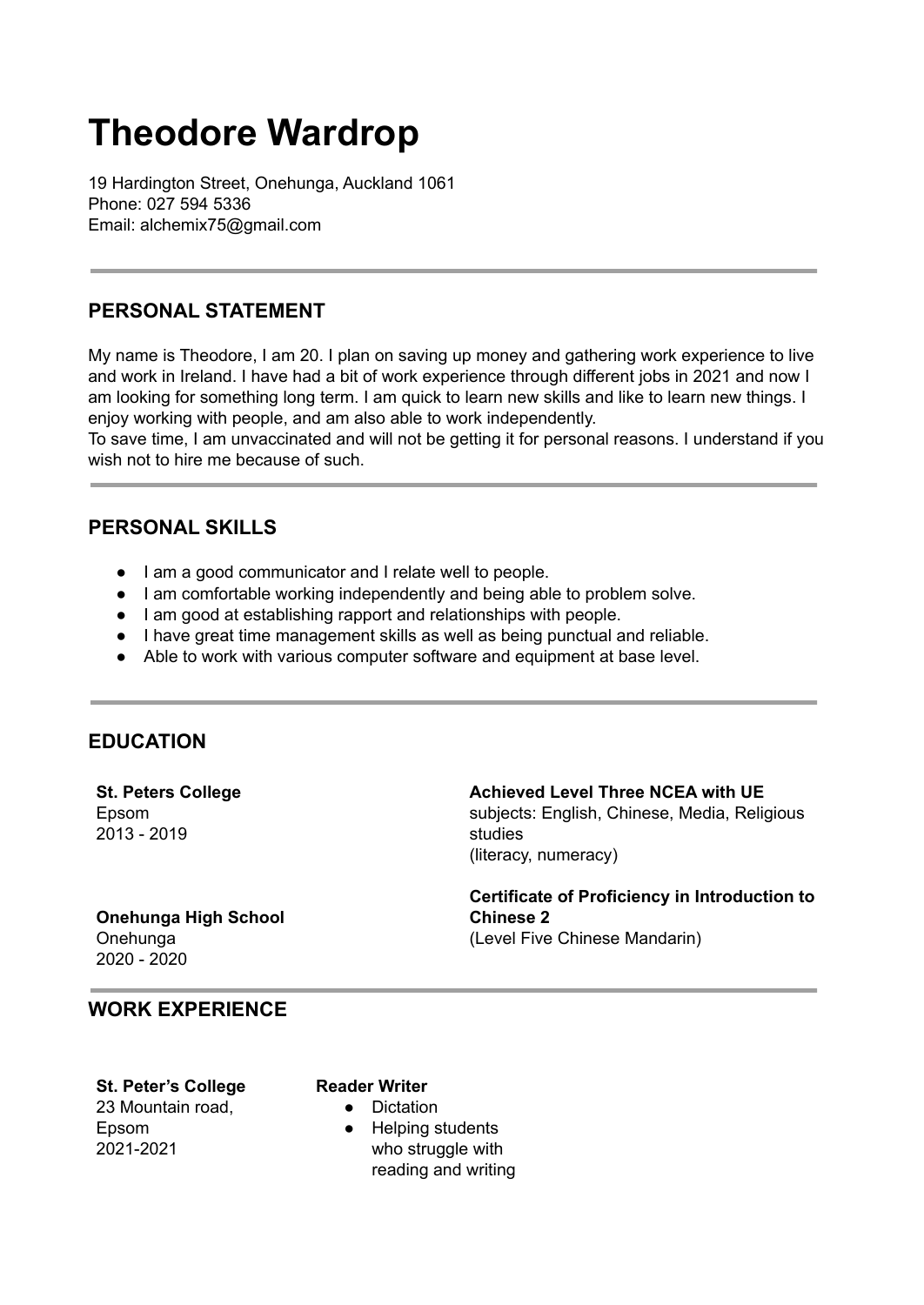# **Theodore Wardrop**

19 Hardington Street, Onehunga, Auckland 1061 Phone: 027 594 5336 Email: alchemix75@gmail.com

# **PERSONAL STATEMENT**

My name is Theodore, I am 20. I plan on saving up money and gathering work experience to live and work in Ireland. I have had a bit of work experience through different jobs in 2021 and now I am looking for something long term. I am quick to learn new skills and like to learn new things. I enjoy working with people, and am also able to work independently.

To save time, I am unvaccinated and will not be getting it for personal reasons. I understand if you wish not to hire me because of such.

## **PERSONAL SKILLS**

- I am a good communicator and I relate well to people.
- I am comfortable working independently and being able to problem solve.
- I am good at establishing rapport and relationships with people.
- I have great time management skills as well as being punctual and reliable.
- Able to work with various computer software and equipment at base level.

### **EDUCATION**

**St. Peters College** Epsom 2013 - 2019

**Achieved Level Three NCEA with UE** subjects: English, Chinese, Media, Religious studies (literacy, numeracy)

#### **Onehunga High School** Onehunga 2020 - 2020

**Certificate of Proficiency in Introduction to Chinese 2** (Level Five Chinese Mandarin)

## **WORK EXPERIENCE**

**St. Peter's College** 23 Mountain road,

Epsom 2021-2021 **Reader Writer**

- Dictation
	- Helping students who struggle with reading and writing